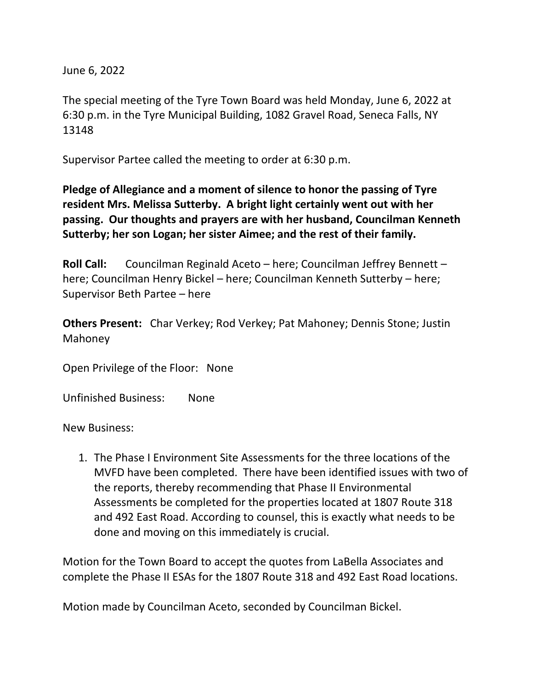June 6, 2022

The special meeting of the Tyre Town Board was held Monday, June 6, 2022 at 6:30 p.m. in the Tyre Municipal Building, 1082 Gravel Road, Seneca Falls, NY 13148

Supervisor Partee called the meeting to order at 6:30 p.m.

**Pledge of Allegiance and a moment of silence to honor the passing of Tyre resident Mrs. Melissa Sutterby. A bright light certainly went out with her passing. Our thoughts and prayers are with her husband, Councilman Kenneth Sutterby; her son Logan; her sister Aimee; and the rest of their family.** 

**Roll Call:** Councilman Reginald Aceto – here; Councilman Jeffrey Bennett – here; Councilman Henry Bickel – here; Councilman Kenneth Sutterby – here; Supervisor Beth Partee – here

**Others Present:** Char Verkey; Rod Verkey; Pat Mahoney; Dennis Stone; Justin Mahoney

Open Privilege of the Floor: None

Unfinished Business: None

New Business:

1. The Phase I Environment Site Assessments for the three locations of the MVFD have been completed. There have been identified issues with two of the reports, thereby recommending that Phase II Environmental Assessments be completed for the properties located at 1807 Route 318 and 492 East Road. According to counsel, this is exactly what needs to be done and moving on this immediately is crucial.

Motion for the Town Board to accept the quotes from LaBella Associates and complete the Phase II ESAs for the 1807 Route 318 and 492 East Road locations.

Motion made by Councilman Aceto, seconded by Councilman Bickel.